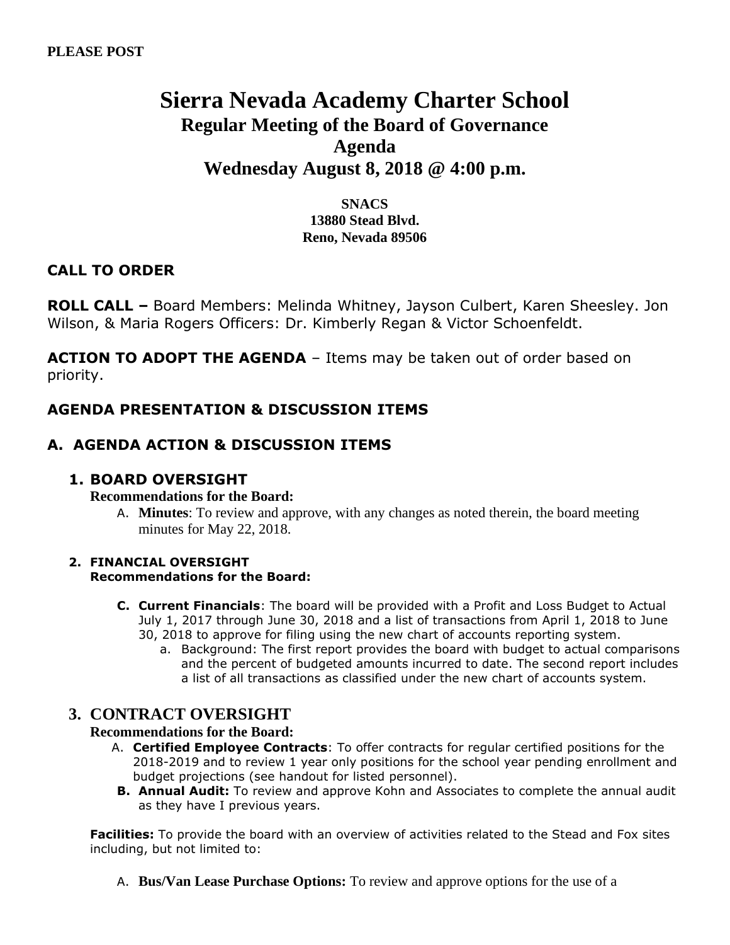# **Sierra Nevada Academy Charter School Regular Meeting of the Board of Governance Agenda Wednesday August 8, 2018 @ 4:00 p.m.**

**SNACS 13880 Stead Blvd. Reno, Nevada 89506**

### **CALL TO ORDER**

**ROLL CALL –** Board Members: Melinda Whitney, Jayson Culbert, Karen Sheesley. Jon Wilson, & Maria Rogers Officers: Dr. Kimberly Regan & Victor Schoenfeldt.

**ACTION TO ADOPT THE AGENDA** – Items may be taken out of order based on priority.

## **AGENDA PRESENTATION & DISCUSSION ITEMS**

### **A. AGENDA ACTION & DISCUSSION ITEMS**

### **1. BOARD OVERSIGHT**

#### **Recommendations for the Board:**

A. **Minutes**: To review and approve, with any changes as noted therein, the board meeting minutes for May 22, 2018.

#### **2. FINANCIAL OVERSIGHT Recommendations for the Board:**

- **C. Current Financials**: The board will be provided with a Profit and Loss Budget to Actual July 1, 2017 through June 30, 2018 and a list of transactions from April 1, 2018 to June 30, 2018 to approve for filing using the new chart of accounts reporting system.
	- a. Background: The first report provides the board with budget to actual comparisons and the percent of budgeted amounts incurred to date. The second report includes a list of all transactions as classified under the new chart of accounts system.

### **3. CONTRACT OVERSIGHT**

#### **Recommendations for the Board:**

- A. **Certified Employee Contracts**: To offer contracts for regular certified positions for the 2018-2019 and to review 1 year only positions for the school year pending enrollment and budget projections (see handout for listed personnel).
- **B. Annual Audit:** To review and approve Kohn and Associates to complete the annual audit as they have I previous years.

**Facilities:** To provide the board with an overview of activities related to the Stead and Fox sites including, but not limited to:

A. **Bus/Van Lease Purchase Options:** To review and approve options for the use of a